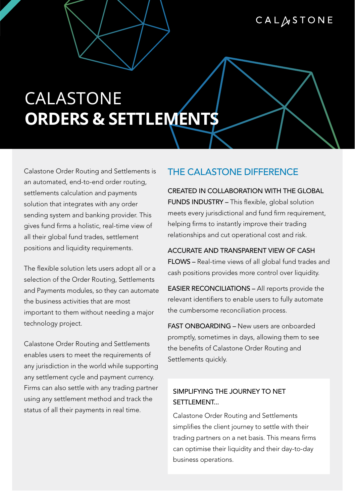## CALASTONE

# CALASTONE **ORDERS & SETTLEMENTS**

Calastone Order Routing and Settlements is an automated, end-to-end order routing, settlements calculation and payments solution that integrates with any order sending system and banking provider. This gives fund firms a holistic, real-time view of all their global fund trades, settlement positions and liquidity requirements.

The flexible solution lets users adopt all or a selection of the Order Routing, Settlements and Payments modules, so they can automate the business activities that are most important to them without needing a major technology project.

Calastone Order Routing and Settlements enables users to meet the requirements of any jurisdiction in the world while supporting any settlement cycle and payment currency. Firms can also settle with any trading partner using any settlement method and track the status of all their payments in real time.

## THE CALASTONE DIFFERENCE

CREATED IN COLLABORATION WITH THE GLOBAL FUNDS INDUSTRY – This flexible, global solution meets every jurisdictional and fund firm requirement, helping firms to instantly improve their trading relationships and cut operational cost and risk.

ACCURATE AND TRANSPARENT VIEW OF CASH FLOWS – Real-time views of all global fund trades and cash positions provides more control over liquidity.

EASIER RECONCILIATIONS – All reports provide the relevant identifiers to enable users to fully automate the cumbersome reconciliation process.

FAST ONBOARDING – New users are onboarded promptly, sometimes in days, allowing them to see the benefits of Calastone Order Routing and Settlements quickly.

## SIMPLIFYING THE JOURNEY TO NET **SETTLEMENT**

Calastone Order Routing and Settlements simplifies the client journey to settle with their trading partners on a net basis. This means firms can optimise their liquidity and their day-to-day business operations.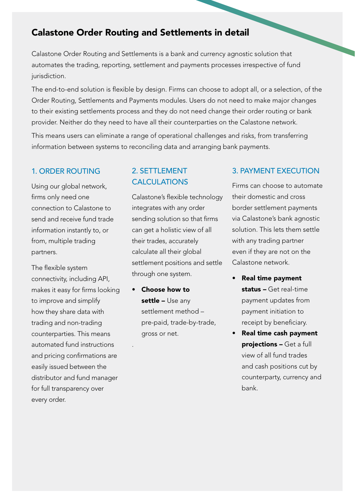## Calastone Order Routing and Settlements in detail

Calastone Order Routing and Settlements is a bank and currency agnostic solution that automates the trading, reporting, settlement and payments processes irrespective of fund jurisdiction.

The end-to-end solution is flexible by design. Firms can choose to adopt all, or a selection, of the Order Routing, Settlements and Payments modules. Users do not need to make major changes to their existing settlements process and they do not need change their order routing or bank provider. Neither do they need to have all their counterparties on the Calastone network.

This means users can eliminate a range of operational challenges and risks, from transferring information between systems to reconciling data and arranging bank payments.

#### 1. ORDER ROUTING

Using our global network, firms only need one connection to Calastone to send and receive fund trade information instantly to, or from, multiple trading partners.

The flexible system connectivity, including API, makes it easy for firms looking to improve and simplify how they share data with trading and non-trading counterparties. This means automated fund instructions and pricing confirmations are easily issued between the distributor and fund manager for full transparency over every order.

## 2. SETTLEMENT **CALCULATIONS**

Calastone's flexible technology integrates with any order sending solution so that firms can get a holistic view of all their trades, accurately calculate all their global settlement positions and settle through one system.

• Choose how to settle – Use any settlement method – pre-paid, trade-by-trade, gross or net.

.

#### 3. PAYMENT EXECUTION

Firms can choose to automate their domestic and cross border settlement payments via Calastone's bank agnostic solution. This lets them settle with any trading partner even if they are not on the Calastone network.

- Real time payment status - Get real-time payment updates from payment initiation to receipt by beneficiary.
- Real time cash payment projections – Get a full view of all fund trades and cash positions cut by counterparty, currency and bank.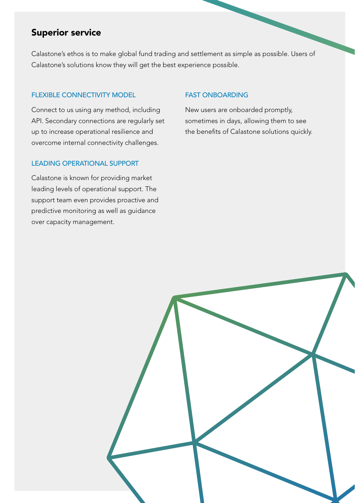## Superior service

Calastone's ethos is to make global fund trading and settlement as simple as possible. Users of Calastone's solutions know they will get the best experience possible.

#### FLEXIBLE CONNECTIVITY MODEL

Connect to us using any method, including API. Secondary connections are regularly set up to increase operational resilience and overcome internal connectivity challenges.

#### FAST ONBOARDING

New users are onboarded promptly, sometimes in days, allowing them to see the benefits of Calastone solutions quickly.

#### LEADING OPERATIONAL SUPPORT

Calastone is known for providing market leading levels of operational support. The support team even provides proactive and predictive monitoring as well as guidance over capacity management.